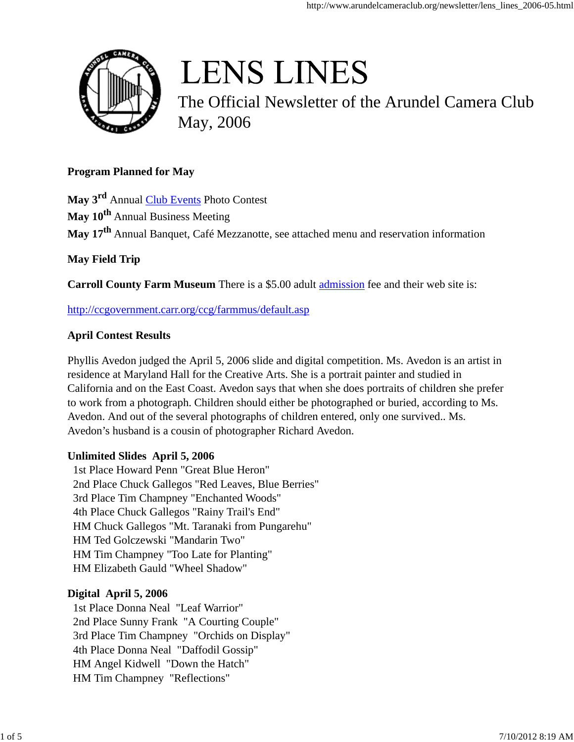

# **LENS LINES**

The Official Newsletter of the Arundel Camera Club May, 2006

## **Program Planned for May**

**May 3rd** Annual Club Events Photo Contest **May 10th** Annual Business Meeting **May 17th** Annual Banquet, Café Mezzanotte, see attached menu and reservation information

# **May Field Trip**

**Carroll County Farm Museum** There is a \$5.00 adult admission fee and their web site is:

http://ccgovernment.carr.org/ccg/farmmus/default.asp

## **April Contest Results**

Phyllis Avedon judged the April 5, 2006 slide and digital competition. Ms. Avedon is an artist in residence at Maryland Hall for the Creative Arts. She is a portrait painter and studied in California and on the East Coast. Avedon says that when she does portraits of children she prefer to work from a photograph. Children should either be photographed or buried, according to Ms. Avedon. And out of the several photographs of children entered, only one survived.. Ms. Avedon's husband is a cousin of photographer Richard Avedon.

## **Unlimited Slides April 5, 2006**

1st Place Howard Penn "Great Blue Heron" 2nd Place Chuck Gallegos "Red Leaves, Blue Berries" 3rd Place Tim Champney "Enchanted Woods" 4th Place Chuck Gallegos "Rainy Trail's End" HM Chuck Gallegos "Mt. Taranaki from Pungarehu" HM Ted Golczewski "Mandarin Two" HM Tim Champney "Too Late for Planting" HM Elizabeth Gauld "Wheel Shadow"

## **Digital April 5, 2006**

1st Place Donna Neal "Leaf Warrior" 2nd Place Sunny Frank "A Courting Couple" 3rd Place Tim Champney "Orchids on Display" 4th Place Donna Neal "Daffodil Gossip" HM Angel Kidwell "Down the Hatch" HM Tim Champney "Reflections"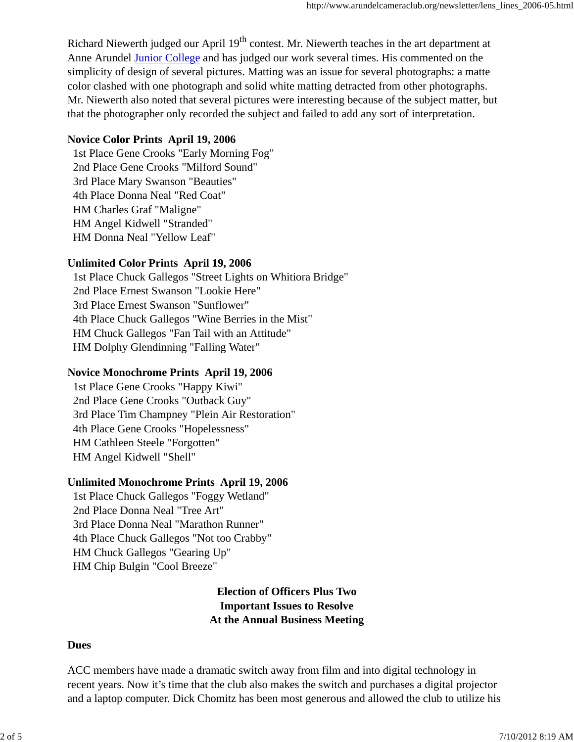Richard Niewerth judged our April 19<sup>th</sup> contest. Mr. Niewerth teaches in the art department at Anne Arundel Junior College and has judged our work several times. His commented on the simplicity of design of several pictures. Matting was an issue for several photographs: a matte color clashed with one photograph and solid white matting detracted from other photographs. Mr. Niewerth also noted that several pictures were interesting because of the subject matter, but that the photographer only recorded the subject and failed to add any sort of interpretation.

#### **Novice Color Prints April 19, 2006**

1st Place Gene Crooks "Early Morning Fog" 2nd Place Gene Crooks "Milford Sound" 3rd Place Mary Swanson "Beauties" 4th Place Donna Neal "Red Coat" HM Charles Graf "Maligne" HM Angel Kidwell "Stranded" HM Donna Neal "Yellow Leaf"

#### **Unlimited Color Prints April 19, 2006**

1st Place Chuck Gallegos "Street Lights on Whitiora Bridge" 2nd Place Ernest Swanson "Lookie Here" 3rd Place Ernest Swanson "Sunflower" 4th Place Chuck Gallegos "Wine Berries in the Mist" HM Chuck Gallegos "Fan Tail with an Attitude" HM Dolphy Glendinning "Falling Water"

#### **Novice Monochrome Prints April 19, 2006**

1st Place Gene Crooks "Happy Kiwi" 2nd Place Gene Crooks "Outback Guy" 3rd Place Tim Champney "Plein Air Restoration" 4th Place Gene Crooks "Hopelessness" HM Cathleen Steele "Forgotten" HM Angel Kidwell "Shell"

#### **Unlimited Monochrome Prints April 19, 2006**

1st Place Chuck Gallegos "Foggy Wetland" 2nd Place Donna Neal "Tree Art" 3rd Place Donna Neal "Marathon Runner" 4th Place Chuck Gallegos "Not too Crabby" HM Chuck Gallegos "Gearing Up" HM Chip Bulgin "Cool Breeze"

### **Election of Officers Plus Two Important Issues to Resolve At the Annual Business Meeting**

#### **Dues**

ACC members have made a dramatic switch away from film and into digital technology in recent years. Now it's time that the club also makes the switch and purchases a digital projector and a laptop computer. Dick Chomitz has been most generous and allowed the club to utilize his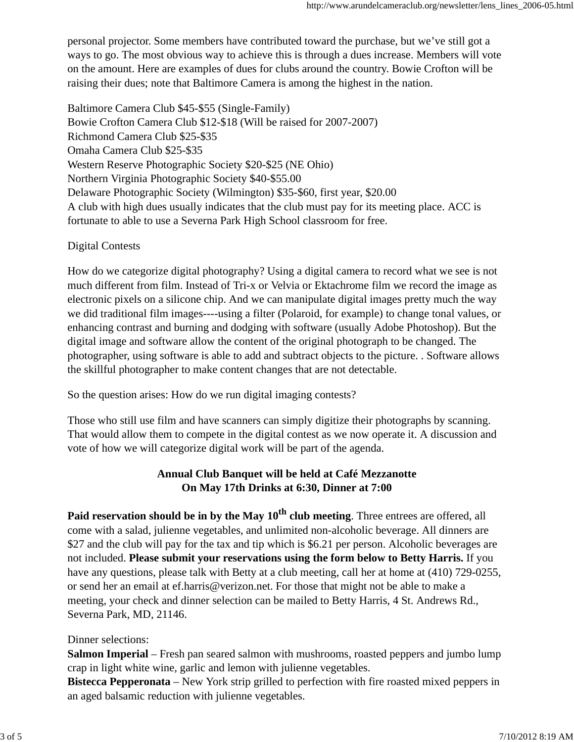personal projector. Some members have contributed toward the purchase, but we've still got a ways to go. The most obvious way to achieve this is through a dues increase. Members will vote on the amount. Here are examples of dues for clubs around the country. Bowie Crofton will be raising their dues; note that Baltimore Camera is among the highest in the nation.

Baltimore Camera Club \$45-\$55 (Single-Family) Bowie Crofton Camera Club \$12-\$18 (Will be raised for 2007-2007) Richmond Camera Club \$25-\$35 Omaha Camera Club \$25-\$35 Western Reserve Photographic Society \$20-\$25 (NE Ohio) Northern Virginia Photographic Society \$40-\$55.00 Delaware Photographic Society (Wilmington) \$35-\$60, first year, \$20.00 A club with high dues usually indicates that the club must pay for its meeting place. ACC is fortunate to able to use a Severna Park High School classroom for free.

#### Digital Contests

How do we categorize digital photography? Using a digital camera to record what we see is not much different from film. Instead of Tri-x or Velvia or Ektachrome film we record the image as electronic pixels on a silicone chip. And we can manipulate digital images pretty much the way we did traditional film images----using a filter (Polaroid, for example) to change tonal values, or enhancing contrast and burning and dodging with software (usually Adobe Photoshop). But the digital image and software allow the content of the original photograph to be changed. The photographer, using software is able to add and subtract objects to the picture. . Software allows the skillful photographer to make content changes that are not detectable.

So the question arises: How do we run digital imaging contests?

Those who still use film and have scanners can simply digitize their photographs by scanning. That would allow them to compete in the digital contest as we now operate it. A discussion and vote of how we will categorize digital work will be part of the agenda.

## **Annual Club Banquet will be held at Café Mezzanotte On May 17th Drinks at 6:30, Dinner at 7:00**

**Paid reservation should be in by the May 10th club meeting**. Three entrees are offered, all come with a salad, julienne vegetables, and unlimited non-alcoholic beverage. All dinners are \$27 and the club will pay for the tax and tip which is \$6.21 per person. Alcoholic beverages are not included. **Please submit your reservations using the form below to Betty Harris.** If you have any questions, please talk with Betty at a club meeting, call her at home at (410) 729-0255, or send her an email at ef.harris@verizon.net. For those that might not be able to make a meeting, your check and dinner selection can be mailed to Betty Harris, 4 St. Andrews Rd., Severna Park, MD, 21146.

#### Dinner selections:

**Salmon Imperial** – Fresh pan seared salmon with mushrooms, roasted peppers and jumbo lump crap in light white wine, garlic and lemon with julienne vegetables.

**Bistecca Pepperonata** – New York strip grilled to perfection with fire roasted mixed peppers in an aged balsamic reduction with julienne vegetables.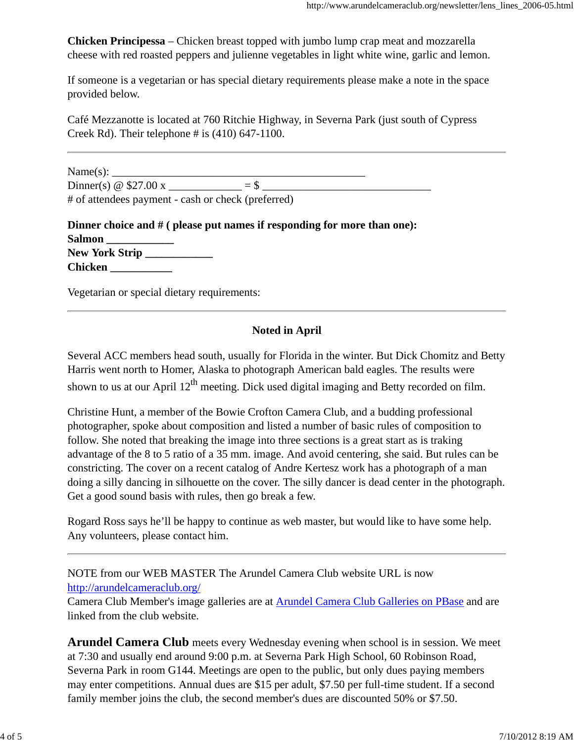**Chicken Principessa** – Chicken breast topped with jumbo lump crap meat and mozzarella cheese with red roasted peppers and julienne vegetables in light white wine, garlic and lemon.

If someone is a vegetarian or has special dietary requirements please make a note in the space provided below.

Café Mezzanotte is located at 760 Ritchie Highway, in Severna Park (just south of Cypress Creek Rd). Their telephone  $\#$  is (410) 647-1100.

 $Name(s):$ Dinner(s)  $\omega$  \$27.00 x  $=$  \$ # of attendees payment - cash or check (preferred)

| Dinner choice and $\#$ ( please put names if responding for more than one): |
|-----------------------------------------------------------------------------|
| <b>Salmon</b>                                                               |
| New York Strip                                                              |
| <b>Chicken</b>                                                              |

Vegetarian or special dietary requirements:

## **Noted in April**

Several ACC members head south, usually for Florida in the winter. But Dick Chomitz and Betty Harris went north to Homer, Alaska to photograph American bald eagles. The results were shown to us at our April  $12^{th}$  meeting. Dick used digital imaging and Betty recorded on film.

Christine Hunt, a member of the Bowie Crofton Camera Club, and a budding professional photographer, spoke about composition and listed a number of basic rules of composition to follow. She noted that breaking the image into three sections is a great start as is traking advantage of the 8 to 5 ratio of a 35 mm. image. And avoid centering, she said. But rules can be constricting. The cover on a recent catalog of Andre Kertesz work has a photograph of a man doing a silly dancing in silhouette on the cover. The silly dancer is dead center in the photograph. Get a good sound basis with rules, then go break a few.

Rogard Ross says he'll be happy to continue as web master, but would like to have some help. Any volunteers, please contact him.

NOTE from our WEB MASTER The Arundel Camera Club website URL is now http://arundelcameraclub.org/

Camera Club Member's image galleries are at Arundel Camera Club Galleries on PBase and are linked from the club website.

**Arundel Camera Club** meets every Wednesday evening when school is in session. We meet at 7:30 and usually end around 9:00 p.m. at Severna Park High School, 60 Robinson Road, Severna Park in room G144. Meetings are open to the public, but only dues paying members may enter competitions. Annual dues are \$15 per adult, \$7.50 per full-time student. If a second family member joins the club, the second member's dues are discounted 50% or \$7.50.